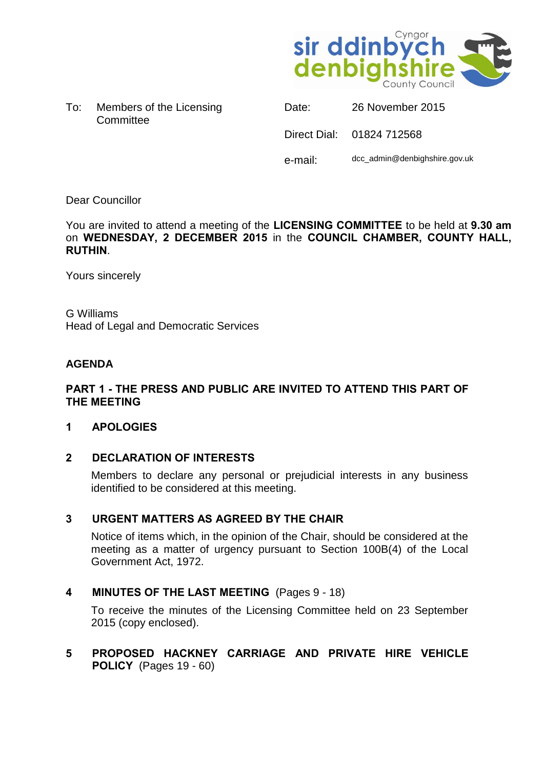

To: Members of the Licensing **Committee** 

| Date:   | 26 November 2015              |
|---------|-------------------------------|
|         | Direct Dial: 01824 712568     |
| e-mail: | dcc_admin@denbighshire.gov.uk |

# Dear Councillor

You are invited to attend a meeting of the **LICENSING COMMITTEE** to be held at **9.30 am** on **WEDNESDAY, 2 DECEMBER 2015** in the **COUNCIL CHAMBER, COUNTY HALL, RUTHIN**.

Yours sincerely

G Williams Head of Legal and Democratic Services

# **AGENDA**

### **PART 1 - THE PRESS AND PUBLIC ARE INVITED TO ATTEND THIS PART OF THE MEETING**

### **1 APOLOGIES**

### **2 DECLARATION OF INTERESTS**

Members to declare any personal or prejudicial interests in any business identified to be considered at this meeting.

### **3 URGENT MATTERS AS AGREED BY THE CHAIR**

Notice of items which, in the opinion of the Chair, should be considered at the meeting as a matter of urgency pursuant to Section 100B(4) of the Local Government Act, 1972.

### **4 MINUTES OF THE LAST MEETING** (Pages 9 - 18)

To receive the minutes of the Licensing Committee held on 23 September 2015 (copy enclosed).

# **5 PROPOSED HACKNEY CARRIAGE AND PRIVATE HIRE VEHICLE POLICY** (Pages 19 - 60)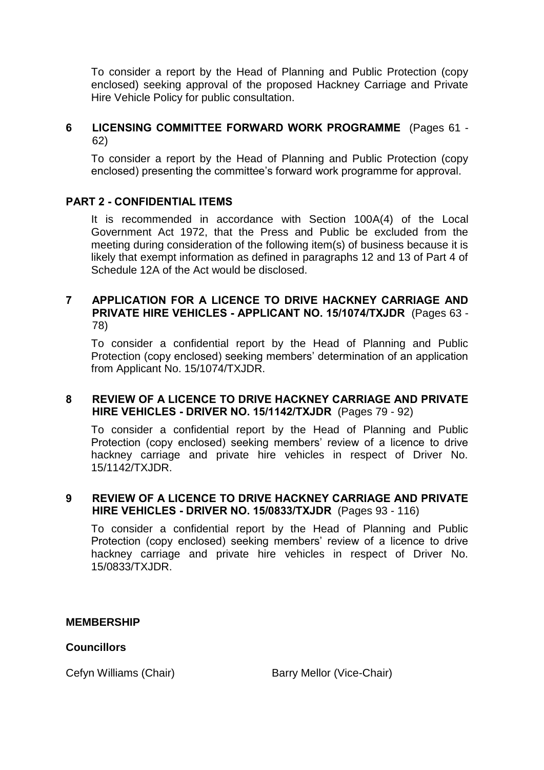To consider a report by the Head of Planning and Public Protection (copy enclosed) seeking approval of the proposed Hackney Carriage and Private Hire Vehicle Policy for public consultation.

## **6 LICENSING COMMITTEE FORWARD WORK PROGRAMME** (Pages 61 - 62)

To consider a report by the Head of Planning and Public Protection (copy enclosed) presenting the committee's forward work programme for approval.

# **PART 2 - CONFIDENTIAL ITEMS**

It is recommended in accordance with Section 100A(4) of the Local Government Act 1972, that the Press and Public be excluded from the meeting during consideration of the following item(s) of business because it is likely that exempt information as defined in paragraphs 12 and 13 of Part 4 of Schedule 12A of the Act would be disclosed.

#### **7 APPLICATION FOR A LICENCE TO DRIVE HACKNEY CARRIAGE AND PRIVATE HIRE VEHICLES - APPLICANT NO. 15/1074/TXJDR** (Pages 63 - 78)

To consider a confidential report by the Head of Planning and Public Protection (copy enclosed) seeking members' determination of an application from Applicant No. 15/1074/TXJDR.

#### **8 REVIEW OF A LICENCE TO DRIVE HACKNEY CARRIAGE AND PRIVATE HIRE VEHICLES - DRIVER NO. 15/1142/TXJDR** (Pages 79 - 92)

To consider a confidential report by the Head of Planning and Public Protection (copy enclosed) seeking members' review of a licence to drive hackney carriage and private hire vehicles in respect of Driver No. 15/1142/TXJDR.

# **9 REVIEW OF A LICENCE TO DRIVE HACKNEY CARRIAGE AND PRIVATE HIRE VEHICLES - DRIVER NO. 15/0833/TXJDR** (Pages 93 - 116)

To consider a confidential report by the Head of Planning and Public Protection (copy enclosed) seeking members' review of a licence to drive hackney carriage and private hire vehicles in respect of Driver No. 15/0833/TXJDR.

#### **MEMBERSHIP**

### **Councillors**